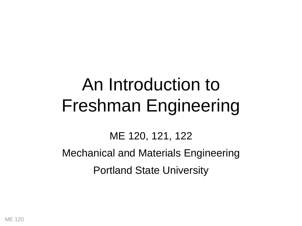# An Introduction to Freshman Engineering

ME 120, 121, 122

Mechanical and Materials Engineering Portland State University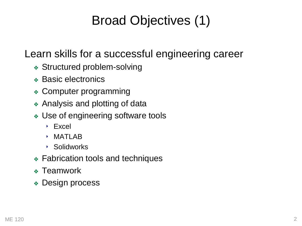# Broad Objectives (1)

### Learn skills for a successful engineering career

- ❖ Structured problem-solving
- ❖ Basic electronics
- ❖ Computer programming
- ❖ Analysis and plotting of data
- ❖ Use of engineering software tools
	- ‣ Excel
	- $\rightarrow$  MATI AR
	- ‣ Solidworks
- ❖ Fabrication tools and techniques
- ❖ Teamwork
- ❖ Design process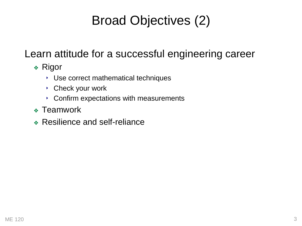# Broad Objectives (2)

### Learn attitude for a successful engineering career

- ❖ Rigor
	- ‣ Use correct mathematical techniques
	- ‣ Check your work
	- ‣ Confirm expectations with measurements
- ❖ Teamwork
- ❖ Resilience and self-reliance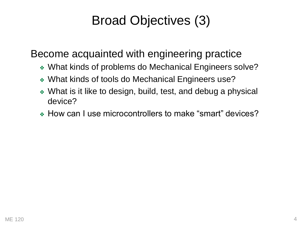# Broad Objectives (3)

Become acquainted with engineering practice

- ❖ What kinds of problems do Mechanical Engineers solve?
- ❖ What kinds of tools do Mechanical Engineers use?
- ❖ What is it like to design, build, test, and debug a physical device?
- ❖ How can I use microcontrollers to make "smart" devices?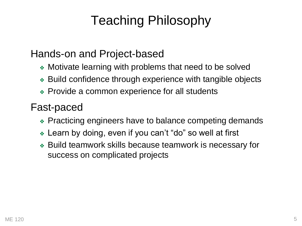# Teaching Philosophy

#### Hands-on and Project-based

- ❖ Motivate learning with problems that need to be solved
- ❖ Build confidence through experience with tangible objects
- ❖ Provide a common experience for all students

#### Fast-paced

- ❖ Practicing engineers have to balance competing demands
- ❖ Learn by doing, even if you can't "do" so well at first
- ❖ Build teamwork skills because teamwork is necessary for success on complicated projects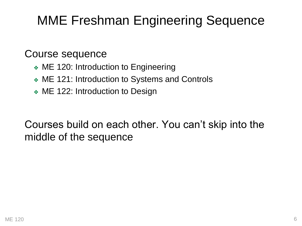# MME Freshman Engineering Sequence

#### Course sequence

- ❖ ME 120: Introduction to Engineering
- ❖ ME 121: Introduction to Systems and Controls
- ❖ ME 122: Introduction to Design

Courses build on each other. You can't skip into the middle of the sequence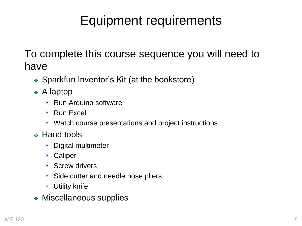# Equipment requirements

To complete this course sequence you will need to have

- ❖ Sparkfun Inventor's Kit (at the bookstore)
- ❖ A laptop
	- ‣ Run Arduino software
	- ‣ Run Excel
	- ‣ Watch course presentations and project instructions
- ❖ Hand tools
	- ‣ Digital multimeter
	- ‣ Caliper
	- ‣ Screw drivers
	- ‣ Side cutter and needle nose pliers
	- ‣ Utility knife
- ❖ Miscellaneous supplies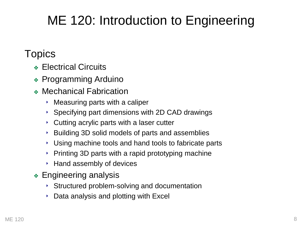# ME 120: Introduction to Engineering

### **Topics**

- ❖ Electrical Circuits
- ❖ Programming Arduino
- ❖ Mechanical Fabrication
	- ‣ Measuring parts with a caliper
	- ‣ Specifying part dimensions with 2D CAD drawings
	- ‣ Cutting acrylic parts with a laser cutter
	- ‣ Building 3D solid models of parts and assemblies
	- ‣ Using machine tools and hand tools to fabricate parts
	- $\rightarrow$  Printing 3D parts with a rapid prototyping machine
	- ‣ Hand assembly of devices
- ❖ Engineering analysis
	- ‣ Structured problem-solving and documentation
	- $\rightarrow$  Data analysis and plotting with Excel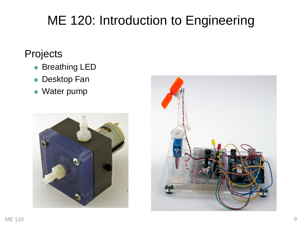# ME 120: Introduction to Engineering

### **Projects**

- ❖ Breathing LED
- ❖ Desktop Fan
- ❖ Water pump



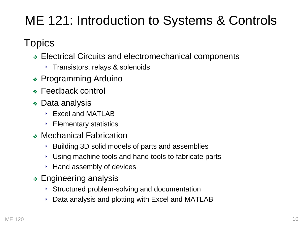# ME 121: Introduction to Systems & Controls

**Topics** 

- ❖ Electrical Circuits and electromechanical components
	- ‣ Transistors, relays & solenoids
- ❖ Programming Arduino
- ❖ Feedback control
- ❖ Data analysis
	- ‣ Excel and MATLAB
	- ‣ Elementary statistics
- ❖ Mechanical Fabrication
	- ‣ Building 3D solid models of parts and assemblies
	- ‣ Using machine tools and hand tools to fabricate parts
	- ‣ Hand assembly of devices
- ❖ Engineering analysis
	- ‣ Structured problem-solving and documentation
	- ‣ Data analysis and plotting with Excel and MATLAB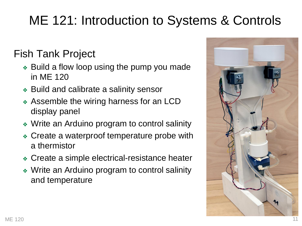# ME 121: Introduction to Systems & Controls

### Fish Tank Project

- ❖ Build a flow loop using the pump you made in ME 120
- ❖ Build and calibrate a salinity sensor
- ❖ Assemble the wiring harness for an LCD display panel
- ❖ Write an Arduino program to control salinity
- ❖ Create a waterproof temperature probe with a thermistor
- ❖ Create a simple electrical-resistance heater
- ❖ Write an Arduino program to control salinity and temperature

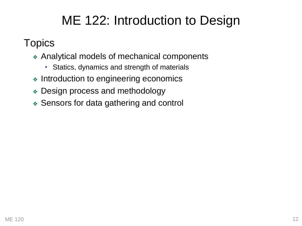# ME 122: Introduction to Design

### **Topics**

- ❖ Analytical models of mechanical components
	- ‣ Statics, dynamics and strength of materials
- ❖ Introduction to engineering economics
- ❖ Design process and methodology
- ❖ Sensors for data gathering and control